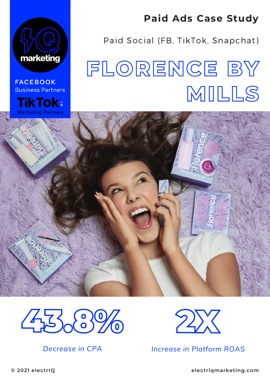

**FACEBOOK Business Partners** 

**TikTok: Marketing Partners** 

#### **Paid Ads Case Study**

Paid Social (FB, TikTok, Snapchat)

# **FLORENCE BY MILLS**



*Decrease in CPA*



*Increase in Platform ROAS*

**© 2021 electrIQ [electriqmarketing.com](https://electriqmarketing.com/)**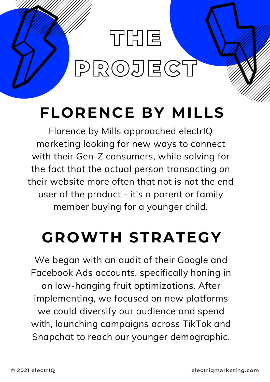### **OUR PERFORMANCE** THE PROJECT

### **FLORENCE BY MILLS**

Florence by Mills approached electrIQ marketing looking for new ways to connect with their Gen-Z consumers, while solving for the fact that the actual person transacting on their website more often that not is not the end user of the product - it's a parent or family member buying for a younger child.

### **GROWTH STRATEGY**

We began with an audit of their Google and Facebook Ads accounts, specifically honing in on low-hanging fruit optimizations. After implementing, we focused on new platforms we could diversify our audience and spend with, launching campaigns across TikTok and Snapchat to reach our younger demographic.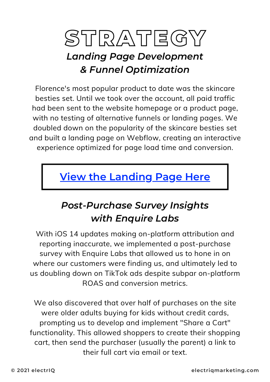## STRATEGY

#### *Landing Page Development & Funnel Optimization*

Florence's most popular product to date was the skincare besties set. Until we took over the account, all paid traffic had been sent to the website homepage or a product page, with no testing of alternative funnels or landing pages. We doubled down on the popularity of the skincare besties set and built a landing page on Webflow, creating an interactive experience optimized for page load time and conversion.

#### **View the [Landing](https://try.florencebymills.com/) Page Here**

#### *Post-Purchase Survey Insights with Enquire Labs*

With iOS 14 updates making on-platform attribution and reporting inaccurate, we implemented a post-purchase survey with Enquire Labs that allowed us to hone in on where our customers were finding us, and ultimately led to us doubling down on TikTok ads despite subpar on-platform ROAS and conversion metrics.

We also discovered that over half of purchases on the site were older adults buying for kids without credit cards, prompting us to develop and implement "Share a Cart" functionality. This allowed shoppers to create their shopping cart, then send the purchaser (usually the parent) a link to their full cart via email or text.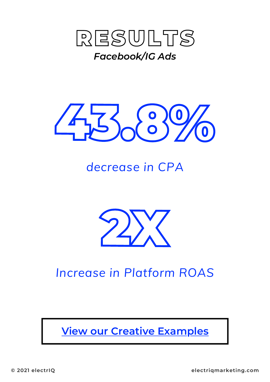



#### *decrease in CPA*



#### *Increase in Platform ROAS*

**View our Creative [Examples](https://drive.google.com/file/d/16xMqscAXVl7A7m_ygc2fyLYPoJkv3vgS/view?usp=sharing)**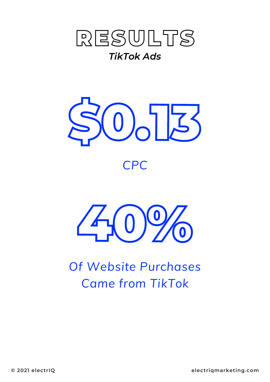





*Of Website Purchases Came from TikTok*

**© 2021 electrIQ [electriqmarketing.com](http://electriqmarketing.com/)**